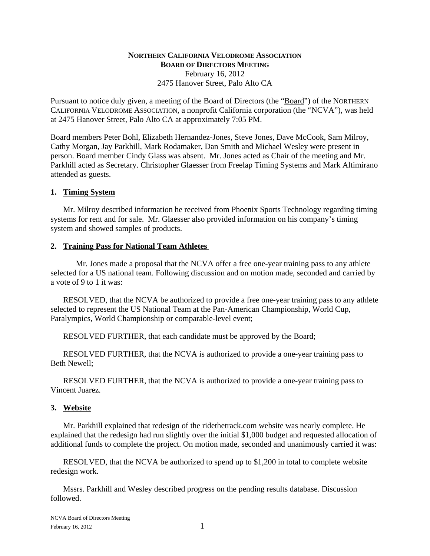## **NORTHERN CALIFORNIA VELODROME ASSOCIATION BOARD OF DIRECTORS MEETING** February 16, 2012 2475 Hanover Street, Palo Alto CA

Pursuant to notice duly given, a meeting of the Board of Directors (the "Board") of the NORTHERN CALIFORNIA VELODROME ASSOCIATION, a nonprofit California corporation (the "NCVA"), was held at 2475 Hanover Street, Palo Alto CA at approximately 7:05 PM.

Board members Peter Bohl, Elizabeth Hernandez-Jones, Steve Jones, Dave McCook, Sam Milroy, Cathy Morgan, Jay Parkhill, Mark Rodamaker, Dan Smith and Michael Wesley were present in person. Board member Cindy Glass was absent. Mr. Jones acted as Chair of the meeting and Mr. Parkhill acted as Secretary. Christopher Glaesser from Freelap Timing Systems and Mark Altimirano attended as guests.

## **1. Timing System**

Mr. Milroy described information he received from Phoenix Sports Technology regarding timing systems for rent and for sale. Mr. Glaesser also provided information on his company's timing system and showed samples of products.

## **2. Training Pass for National Team Athletes**

Mr. Jones made a proposal that the NCVA offer a free one-year training pass to any athlete selected for a US national team. Following discussion and on motion made, seconded and carried by a vote of 9 to 1 it was:

RESOLVED, that the NCVA be authorized to provide a free one-year training pass to any athlete selected to represent the US National Team at the Pan-American Championship, World Cup, Paralympics, World Championship or comparable-level event;

RESOLVED FURTHER, that each candidate must be approved by the Board;

RESOLVED FURTHER, that the NCVA is authorized to provide a one-year training pass to Beth Newell;

RESOLVED FURTHER, that the NCVA is authorized to provide a one-year training pass to Vincent Juarez.

#### **3. Website**

Mr. Parkhill explained that redesign of the ridethetrack.com website was nearly complete. He explained that the redesign had run slightly over the initial \$1,000 budget and requested allocation of additional funds to complete the project. On motion made, seconded and unanimously carried it was:

RESOLVED, that the NCVA be authorized to spend up to \$1,200 in total to complete website redesign work.

Mssrs. Parkhill and Wesley described progress on the pending results database. Discussion followed.